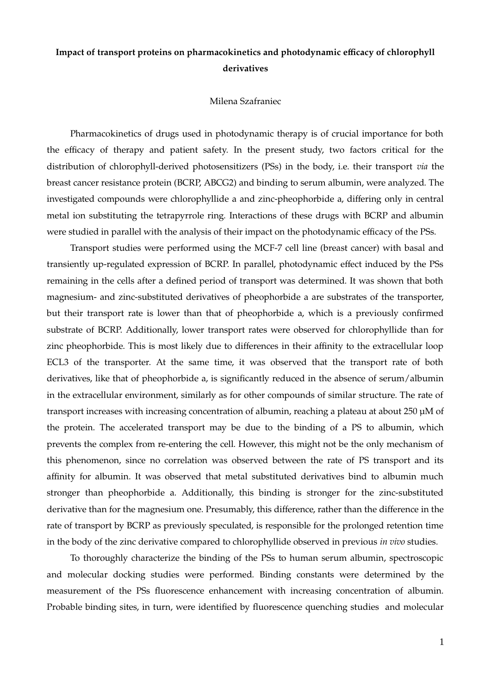## **Impact of transport proteins on pharmacokinetics and photodynamic efficacy of chlorophyll derivatives**

## Milena Szafraniec

Pharmacokinetics of drugs used in photodynamic therapy is of crucial importance for both the efficacy of therapy and patient safety. In the present study, two factors critical for the distribution of chlorophyll-derived photosensitizers (PSs) in the body, i.e. their transport *via* the breast cancer resistance protein (BCRP, ABCG2) and binding to serum albumin, were analyzed. The investigated compounds were chlorophyllide a and zinc-pheophorbide a, differing only in central metal ion substituting the tetrapyrrole ring. Interactions of these drugs with BCRP and albumin were studied in parallel with the analysis of their impact on the photodynamic efficacy of the PSs.

Transport studies were performed using the MCF-7 cell line (breast cancer) with basal and transiently up-regulated expression of BCRP. In parallel, photodynamic effect induced by the PSs remaining in the cells after a defined period of transport was determined. It was shown that both magnesium- and zinc-substituted derivatives of pheophorbide a are substrates of the transporter, but their transport rate is lower than that of pheophorbide a, which is a previously confirmed substrate of BCRP. Additionally, lower transport rates were observed for chlorophyllide than for zinc pheophorbide. This is most likely due to differences in their affinity to the extracellular loop ECL3 of the transporter. At the same time, it was observed that the transport rate of both derivatives, like that of pheophorbide a, is significantly reduced in the absence of serum/albumin in the extracellular environment, similarly as for other compounds of similar structure. The rate of transport increases with increasing concentration of albumin, reaching a plateau at about 250 µM of the protein. The accelerated transport may be due to the binding of a PS to albumin, which prevents the complex from re-entering the cell. However, this might not be the only mechanism of this phenomenon, since no correlation was observed between the rate of PS transport and its affinity for albumin. It was observed that metal substituted derivatives bind to albumin much stronger than pheophorbide a. Additionally, this binding is stronger for the zinc-substituted derivative than for the magnesium one. Presumably, this difference, rather than the difference in the rate of transport by BCRP as previously speculated, is responsible for the prolonged retention time in the body of the zinc derivative compared to chlorophyllide observed in previous *in vivo* studies.

To thoroughly characterize the binding of the PSs to human serum albumin, spectroscopic and molecular docking studies were performed. Binding constants were determined by the measurement of the PSs fluorescence enhancement with increasing concentration of albumin. Probable binding sites, in turn, were identified by fluorescence quenching studies and molecular